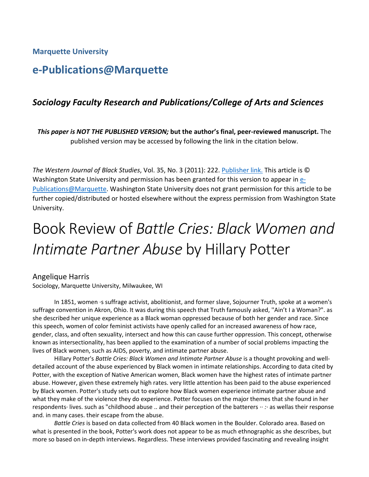**Marquette University** 

## **e-Publications@Marquette**

## *Sociology Faculty Research and Publications/College of Arts and Sciences*

*This paper is NOT THE PUBLISHED VERSION;* **but the author's final, peer-reviewed manuscript.** The published version may be accessed by following the link in the citation below.

Washington State University and permission has been granted for this version to appear in [e-](http://epublications.marquette.edu/)[Publications@Marquette.](http://epublications.marquette.edu/) Washington State University does not grant permission for this article to be *The Western Journal of Black Studies*, Vol. 35, No. 3 (2011): 222. [Publisher link. T](http://public.wsu.edu/%7Ewjbs/vol353.html)his article is © further copied/distributed or hosted elsewhere without the express permission from Washington State University.

## Book Review of *Battle Cries: Black Women and Intimate Partner Abuse* by Hillary Potter

## Angelique Harris

Sociology, Marquette University, Milwaukee, WI

 she described her unique experience as a Black woman oppressed because of both her gender and race. Since known as intersectionality, has been applied to the examination of a number of social problems impacting the lives of Black women, such as AIDS, poverty, and intimate partner abuse. In 1851, women ·s suffrage activist, abolitionist, and former slave, Sojourner Truth, spoke at a women's suffrage convention in Akron, Ohio. It was during this speech that Truth famously asked, ''Ain't I a Woman?". as this speech, women of color feminist activists have openly called for an increased awareness of how race, gender, class, and often sexuality, intersect and how this can cause further oppression. This concept, otherwise

 abuse. However, given these extremely high rates. very little attention has been paid to the abuse experienced by Black women. Potter's study sets out to explore how Black women experience intimate partner abuse and what they make of the violence they do experience. Potter focuses on the major themes that she found in her and. in many cases. their escape from the abuse. Hillary Potter's *Battle Cries: Black Women and Intimate Partner Abuse* is a thought provoking and welldetailed account of the abuse experienced by Black women in intimate relationships. According to data cited by Potter, with the exception of Native American women, Black women have the highest rates of intimate partner respondents· lives. such as "childhood abuse .. and their perception of the batterers ·· *:·* as wellas their response

 more so based on in-depth interviews. Regardless. These interviews provided fascinating and revealing insight *Battle Cries* is based on data collected from 40 Black women in the Boulder. Colorado area. Based on what is presented in the book, Potter's work does not appear to be as much ethnographic as she describes, but